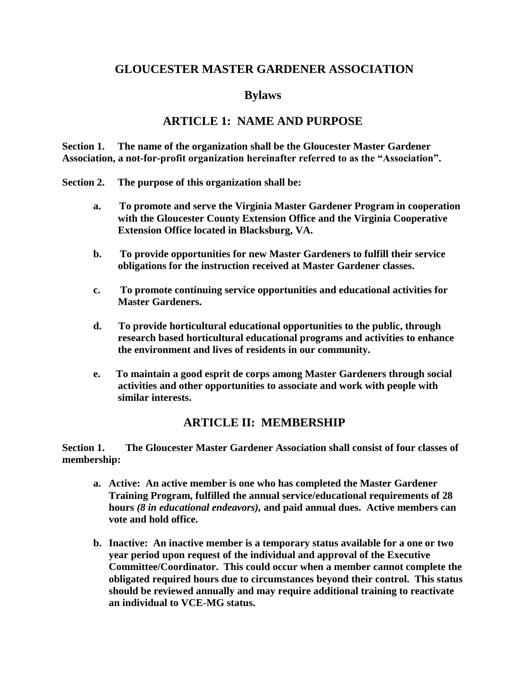### **GLOUCESTER MASTER GARDENER ASSOCIATION**

### **Bylaws**

### **ARTICLE 1: NAME AND PURPOSE**

**Section 1. The name of the organization shall be the Gloucester Master Gardener Association, a not-for-profit organization hereinafter referred to as the "Association".**

**Section 2. The purpose of this organization shall be:**

- **a. To promote and serve the Virginia Master Gardener Program in cooperation with the Gloucester County Extension Office and the Virginia Cooperative Extension Office located in Blacksburg, VA.**
- **b. To provide opportunities for new Master Gardeners to fulfill their service obligations for the instruction received at Master Gardener classes.**
- **c. To promote continuing service opportunities and educational activities for Master Gardeners.**
- **d. To provide horticultural educational opportunities to the public, through research based horticultural educational programs and activities to enhance the environment and lives of residents in our community.**
- **e. To maintain a good esprit de corps among Master Gardeners through social activities and other opportunities to associate and work with people with similar interests.**

### **ARTICLE II: MEMBERSHIP**

**Section 1. The Gloucester Master Gardener Association shall consist of four classes of membership:**

- **a. Active: An active member is one who has completed the Master Gardener Training Program, fulfilled the annual service/educational requirements of 28 hours** *(8 in educational endeavors),* **and paid annual dues. Active members can vote and hold office.**
- **b. Inactive: An inactive member is a temporary status available for a one or two year period upon request of the individual and approval of the Executive Committee/Coordinator. This could occur when a member cannot complete the obligated required hours due to circumstances beyond their control. This status should be reviewed annually and may require additional training to reactivate an individual to VCE-MG status.**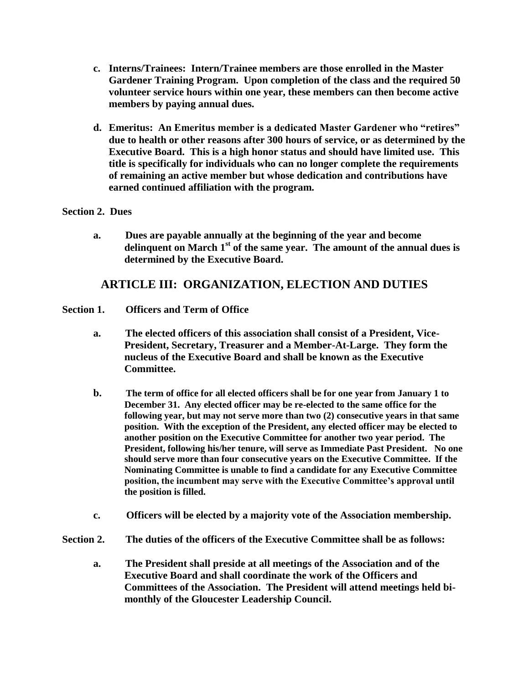- **c. Interns/Trainees: Intern/Trainee members are those enrolled in the Master Gardener Training Program. Upon completion of the class and the required 50 volunteer service hours within one year, these members can then become active members by paying annual dues.**
- **d. Emeritus: An Emeritus member is a dedicated Master Gardener who "retires" due to health or other reasons after 300 hours of service, or as determined by the Executive Board. This is a high honor status and should have limited use. This title is specifically for individuals who can no longer complete the requirements of remaining an active member but whose dedication and contributions have earned continued affiliation with the program.**

#### **Section 2. Dues**

**a. Dues are payable annually at the beginning of the year and become delinquent on March 1st of the same year. The amount of the annual dues is determined by the Executive Board.**

## **ARTICLE III: ORGANIZATION, ELECTION AND DUTIES**

#### **Section 1. Officers and Term of Office**

- **a. The elected officers of this association shall consist of a President, Vice-President, Secretary, Treasurer and a Member-At-Large. They form the nucleus of the Executive Board and shall be known as the Executive Committee.**
- **b. The term of office for all elected officers shall be for one year from January 1 to December 31. Any elected officer may be re-elected to the same office for the following year, but may not serve more than two (2) consecutive years in that same position. With the exception of the President, any elected officer may be elected to another position on the Executive Committee for another two year period. The President, following his/her tenure, will serve as Immediate Past President. No one should serve more than four consecutive years on the Executive Committee. If the Nominating Committee is unable to find a candidate for any Executive Committee position, the incumbent may serve with the Executive Committee's approval until the position is filled.**
- **c. Officers will be elected by a majority vote of the Association membership.**
- **Section 2. The duties of the officers of the Executive Committee shall be as follows:**
	- **a. The President shall preside at all meetings of the Association and of the Executive Board and shall coordinate the work of the Officers and Committees of the Association. The President will attend meetings held bimonthly of the Gloucester Leadership Council.**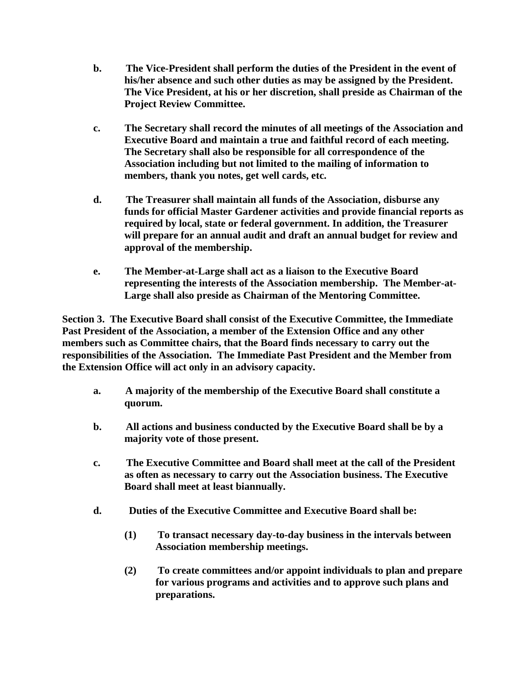- **b. The Vice-President shall perform the duties of the President in the event of his/her absence and such other duties as may be assigned by the President. The Vice President, at his or her discretion, shall preside as Chairman of the Project Review Committee.**
- **c. The Secretary shall record the minutes of all meetings of the Association and Executive Board and maintain a true and faithful record of each meeting. The Secretary shall also be responsible for all correspondence of the Association including but not limited to the mailing of information to members, thank you notes, get well cards, etc.**
- **d. The Treasurer shall maintain all funds of the Association, disburse any funds for official Master Gardener activities and provide financial reports as required by local, state or federal government. In addition, the Treasurer will prepare for an annual audit and draft an annual budget for review and approval of the membership.**
- **e. The Member-at-Large shall act as a liaison to the Executive Board representing the interests of the Association membership. The Member-at-Large shall also preside as Chairman of the Mentoring Committee.**

**Section 3. The Executive Board shall consist of the Executive Committee, the Immediate Past President of the Association, a member of the Extension Office and any other members such as Committee chairs, that the Board finds necessary to carry out the responsibilities of the Association. The Immediate Past President and the Member from the Extension Office will act only in an advisory capacity.**

- **a. A majority of the membership of the Executive Board shall constitute a quorum.**
- **b. All actions and business conducted by the Executive Board shall be by a majority vote of those present.**
- **c. The Executive Committee and Board shall meet at the call of the President as often as necessary to carry out the Association business. The Executive Board shall meet at least biannually.**
- **d. Duties of the Executive Committee and Executive Board shall be:**
	- **(1) To transact necessary day-to-day business in the intervals between Association membership meetings.**
	- **(2) To create committees and/or appoint individuals to plan and prepare for various programs and activities and to approve such plans and preparations.**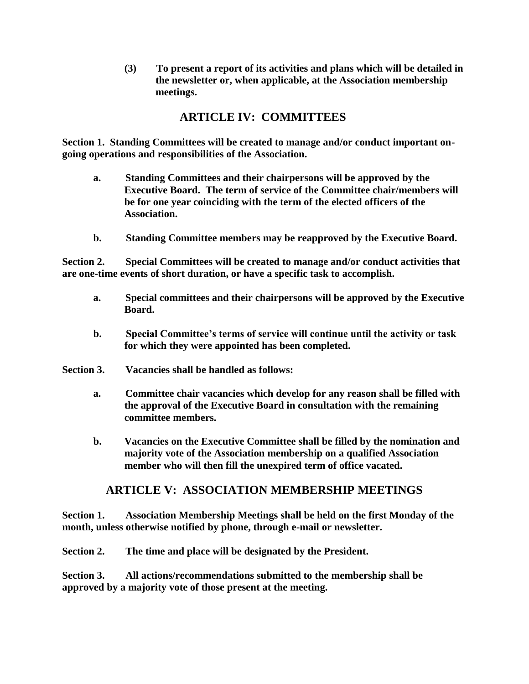**(3) To present a report of its activities and plans which will be detailed in the newsletter or, when applicable, at the Association membership meetings.**

# **ARTICLE IV: COMMITTEES**

**Section 1. Standing Committees will be created to manage and/or conduct important ongoing operations and responsibilities of the Association.**

- **a. Standing Committees and their chairpersons will be approved by the Executive Board. The term of service of the Committee chair/members will be for one year coinciding with the term of the elected officers of the Association.**
- **b. Standing Committee members may be reapproved by the Executive Board.**

**Section 2. Special Committees will be created to manage and/or conduct activities that are one-time events of short duration, or have a specific task to accomplish.**

- **a. Special committees and their chairpersons will be approved by the Executive Board.**
- **b. Special Committee's terms of service will continue until the activity or task for which they were appointed has been completed.**
- **Section 3. Vacancies shall be handled as follows:**
	- **a. Committee chair vacancies which develop for any reason shall be filled with the approval of the Executive Board in consultation with the remaining committee members.**
	- **b. Vacancies on the Executive Committee shall be filled by the nomination and majority vote of the Association membership on a qualified Association member who will then fill the unexpired term of office vacated.**

## **ARTICLE V: ASSOCIATION MEMBERSHIP MEETINGS**

**Section 1. Association Membership Meetings shall be held on the first Monday of the month, unless otherwise notified by phone, through e-mail or newsletter.**

**Section 2. The time and place will be designated by the President.**

**Section 3. All actions/recommendations submitted to the membership shall be approved by a majority vote of those present at the meeting.**